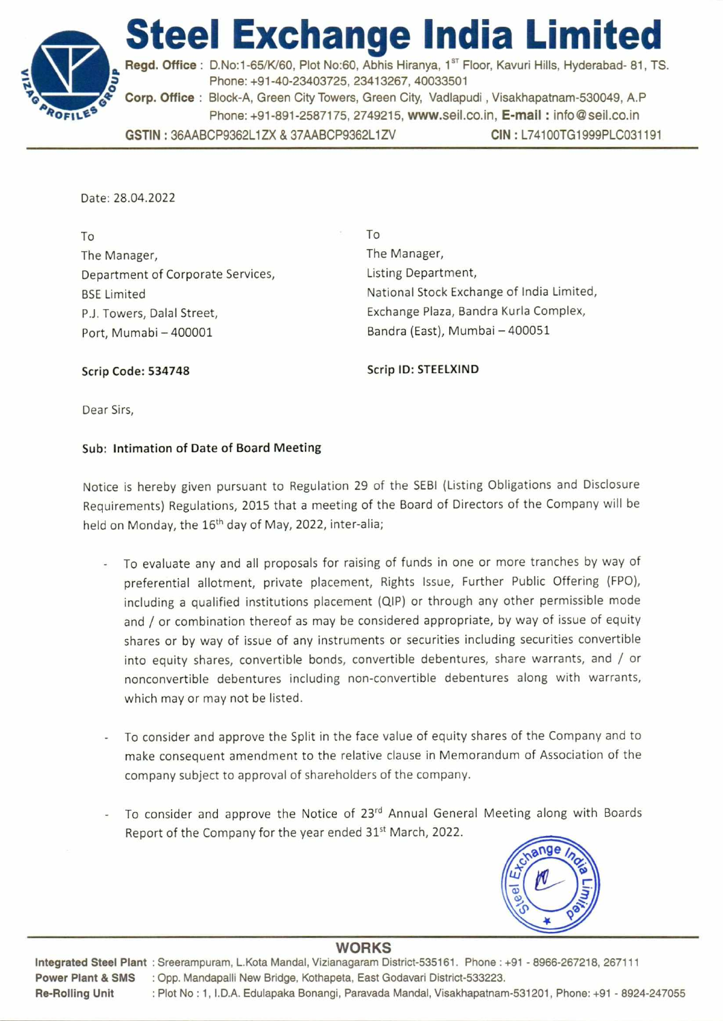

**Steel Exchange India Limited**  Regd. Office : D.No:1-65/K/60, Plot No:60, Abhis Hiranya, 1<sup>st</sup> Floor, Kavuri Hills, Hyderabad- 81, TS. **o** Phone: +91-40-23403725, 23413267, 40033501 **Corp. Office :** Block-A, Green City Towers, Green City, Vadlapudi , Visakhapatnam-530049, A.P Phone: +91-891-2587175, 2749215, www.seil.co.in, **E-mail :** info@seil.co.in **GSTIN :** 36AABCP9362L1ZX & 37AABCP9362L1ZV **CIN :** L74100TG1999PLC031191

Date: 28.04.2022

To The Manager, Department of Corporate Services, BSE Limited P.J. Towers, Dalal Street, Port, Mumabi — 400001

To The Manager, Listing Department, National Stock Exchange of India Limited, Exchange Plaza, Bandra Kurla Complex, Bandra (East), Mumbai — 400051

**Scrip Code: 534748** 

**Scrip ID: STEELXIND** 

Dear Sirs,

## Sub: Intimation of **Date** of Board Meeting

Notice is hereby given pursuant to Regulation 29 of the SEBI (Listing Obligations and Disclosure Requirements) Regulations, 2015 that a meeting of the Board of Directors of the Company will be held on Monday, the 16<sup>th</sup> day of May, 2022, inter-alia;

- To evaluate any and all proposals for raising of funds in one or more tranches by way of preferential allotment, private placement, Rights Issue, Further Public Offering (FPO), including a qualified institutions placement (QIP) or through any other permissible mode and / or combination thereof as may be considered appropriate, by way of issue of equity shares or by way of issue of any instruments or securities including securities convertible into equity shares, convertible bonds, convertible debentures, share warrants, and / or nonconvertible debentures including non-convertible debentures along with warrants, which may or may not be listed.
- To consider and approve the Split in the face value of equity shares of the Company and to make consequent amendment to the relative clause in Memorandum of Association of the company subject to approval of shareholders of the company.
- To consider and approve the Notice of 23<sup>rd</sup> Annual General Meeting along with Boards Report of the Company for the year ended 31<sup>st</sup> March, 2022.



## **WORKS**

**Integrated Steel Plant :** Sreerampuram, L.Kota Mandal, Vizianagaram District-535161. Phone : +91 - 8966-267218, 267111 **Power Plant & SMS :** Opp. Mandapalli New Bridge, Kothapeta, East Godavari District-533223. **Re-Rolling Unit :** Plot No : 1, I.D.A. Edulapaka Bonangi, Paravada Mandal, Visakhapatnam-531201, Phone: +91 - 8924-247055